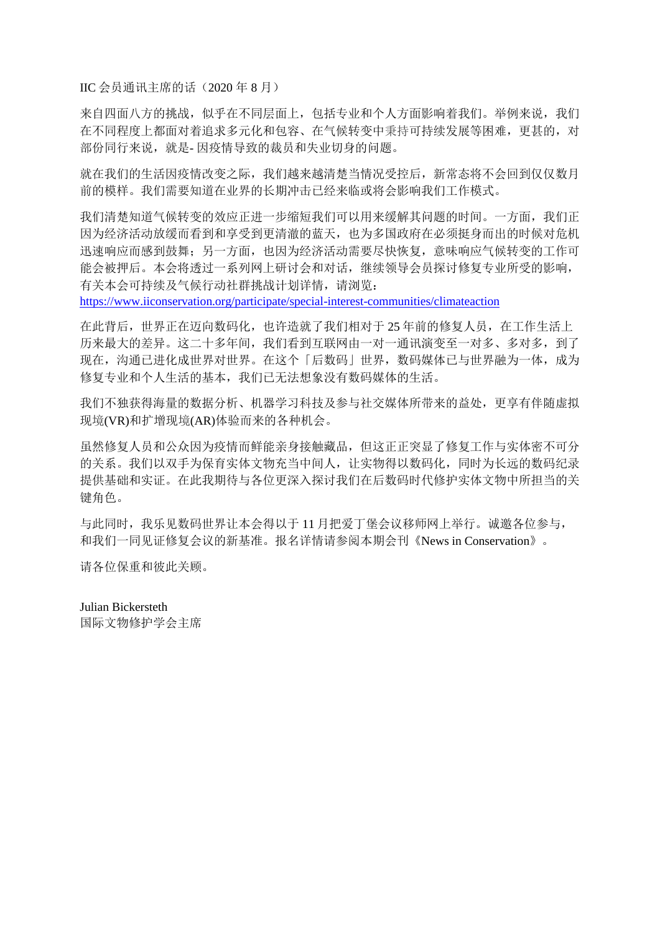IIC 会员通讯主席的话(2020年8月)

来自四面八方的挑战,似乎在不同层面上,包括专业和个人方面影响着我们。举例来说,我们 在不同程度上都面对着追求多元化和包容、在气候转变中秉持可持续发展等困难,更甚的,对 部份同行来说,就是- 因疫情导致的裁员和失业切身的问题。

就在我们的生活因疫情改变之际,我们越来越清楚当情况受控后,新常态将不会回到仅仅数月 前的模样。我们需要知道在业界的长期冲击已经来临或将会影响我们工作模式。

我们清楚知道气候转变的效应正进一步缩短我们可以用来缓解其问题的时间。一方面,我们正 因为经济活动放缓而看到和享受到更清澈的蓝天,也为多国政府在必须挺身而出的时候对危机 迅速响应而感到鼓舞;另一方面,也因为经济活动需要尽快恢复,意味响应气候转变的工作可 能会被押后。本会将透过一系列网上研讨会和对话,继续领导会员探讨修复专业所受的影响, 有关本会可持续及气候行动社群挑战计划详情,请浏览:

<https://www.iiconservation.org/participate/special-interest-communities/climateaction>

在此背后,世界正在迈向数码化,也许造就了我们相对于 25 年前的修复人员,在工作生活上 历来最大的差异。这二十多年间,我们看到互联网由一对一通讯演变至一对多、多对多,到了 现在,沟通已进化成世界对世界。在这个「后数码」世界,数码媒体已与世界融为一体,成为 修复专业和个人生活的基本,我们已无法想象没有数码媒体的生活。

我们不独获得海量的数据分析、机器学习科技及参与社交媒体所带来的益处,更享有伴随虚拟 现境(VR)和扩增现境(AR)体验而来的各种机会。

虽然修复人员和公众因为疫情而鲜能亲身接触藏品,但这正正突显了修复工作与实体密不可分 的关系。我们以双手为保育实体文物充当中间人,让实物得以数码化,同时为长远的数码纪录 提供基础和实证。在此我期待与各位更深入探讨我们在后数码时代修护实体文物中所担当的关 键角色。

与此同时,我乐见数码世界让本会得以于 11 月把爱丁堡会议移师网上举行。诚邀各位参与, 和我们一同见证修复会议的新基准。报名详情请参阅本期会刊《News in Conservation》。

请各位保重和彼此关顾。

#### Julian Bickersteth

国际文物修护学会主席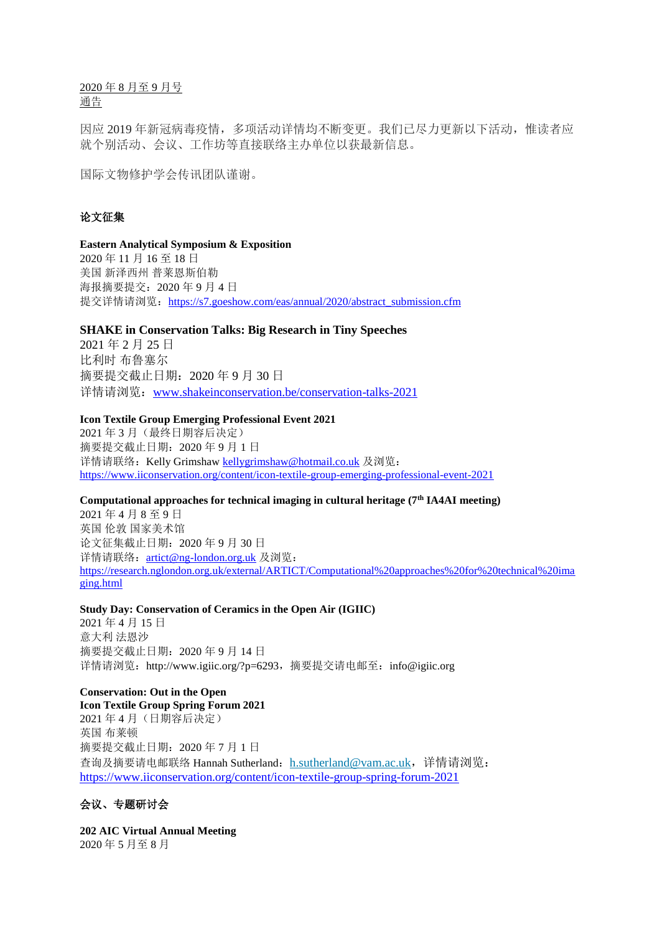2020 年 8 月至 9 月号 通告

因应 2019 年新冠病毒疫情,多项活动详情均不断变更。我们已尽力更新以下活动,惟读者应 就个别活动、会议、工作坊等直接联络主办单位以获最新信息。

国际文物修护学会传讯团队谨谢。

## 论文征集

#### **Eastern Analytical Symposium & Exposition**

2020 年 11 月 16 至 18 日 美国 新泽西州 普莱恩斯伯勒 海报摘要提交:2020 年 9 月 4 日 提交详情请浏览: [https://s7.goeshow.com/eas/annual/2020/abstract\\_submission.cfm](https://s7.goeshow.com/eas/annual/2020/abstract_submission.cfm)

#### **SHAKE in Conservation Talks: Big Research in Tiny Speeches**

2021 年 2 月 25 日 比利时 布鲁塞尔 摘要提交截止日期:2020 年 9 月 30 日 详情请浏览:[www.shakeinconservation.be/conservation-talks-2021](http://www.shakeinconservation.be/conservation-talks-2021)

#### **Icon Textile Group Emerging Professional Event 2021**

2021 年 3 月(最终日期容后决定) 摘要提交截止日期:2020 年 9 月 1 日 详情请联络: Kelly Grimshaw [kellygrimshaw@hotmail.co.uk](mailto:kellygrimshaw@hotmail.co.uk) 及浏览: <https://www.iiconservation.org/content/icon-textile-group-emerging-professional-event-2021>

#### **Computational approaches for technical imaging in cultural heritage (7th IA4AI meeting)**

2021 年 4 月 8 至 9 日 英国 伦敦 国家美术馆 论文征集截止日期:2020 年 9 月 30 日 详情请联络: [artict@ng-london.org.uk](mailto:artict@ng-london.org.uk) 及浏览: [https://research.nglondon.org.uk/external/ARTICT/Computational%20approaches%20for%20technical%20ima](https://research.nglondon.org.uk/external/ARTICT/Computational%20approaches%20for%20technical%20imaging.html) [ging.html](https://research.nglondon.org.uk/external/ARTICT/Computational%20approaches%20for%20technical%20imaging.html)

#### **Study Day: Conservation of Ceramics in the Open Air (IGIIC)**

2021 年 4 月 15 日 意大利 法恩沙 摘要提交截止日期:2020 年 9 月 14 日 详情请浏览: http://www.igiic.org/?p=6293, 摘要提交请电邮至: info@igiic.org

## **Conservation: Out in the Open**

**Icon Textile Group Spring Forum 2021** 2021 年 4 月(日期容后决定) 英国 布莱顿 摘要提交截止日期:2020 年 7 月 1 日 查询及摘要请电邮联络 Hannah Sutherland: [h.sutherland@vam.ac.uk](mailto:h.sutherland@vam.ac.uk), 详情请浏览: <https://www.iiconservation.org/content/icon-textile-group-spring-forum-2021>

## 会议、专题研讨会

**202 AIC Virtual Annual Meeting** 2020 年 5 月至 8 月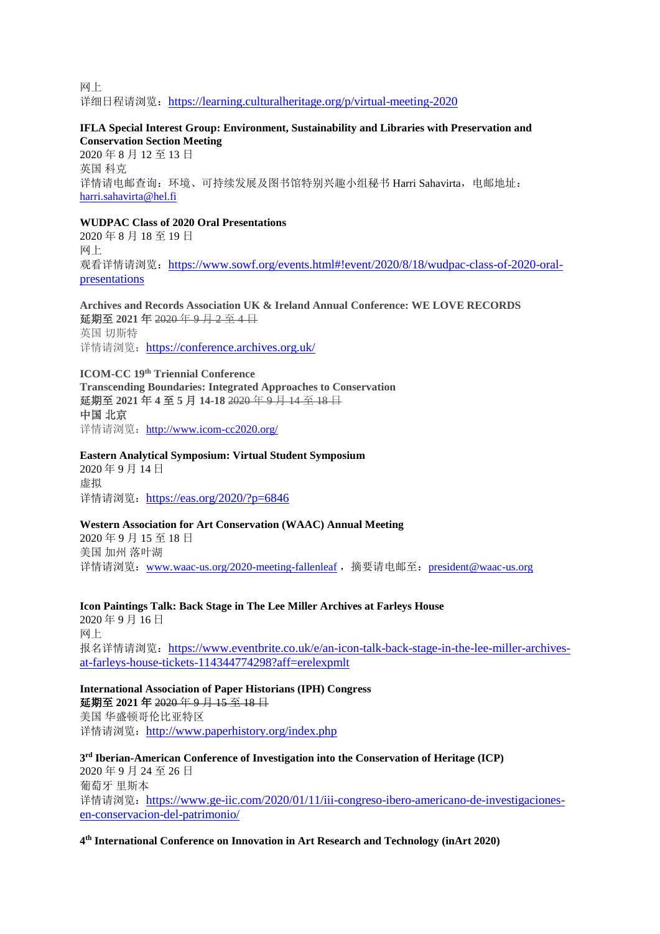网上 详细日程请浏览: <https://learning.culturalheritage.org/p/virtual-meeting-2020>

#### **IFLA Special Interest Group: Environment, Sustainability and Libraries with Preservation and Conservation Section Meeting**

2020 年 8 月 12 至 13 日 英国 科克 详情请电邮查询: 环境、可持续发展及图书馆特别兴趣小组秘书 Harri Sahavirta, 电邮地址: [harri.sahavirta@hel.fi](mailto:harri.sahavirta@hel.fi)

## **WUDPAC Class of 2020 Oral Presentations**

2020 年 8 月 18 至 19 日 网上 观看详情请浏览: [https://www.sowf.org/events.html#!event/2020/8/18/wudpac-class-of-2020-oral](https://www.sowf.org/events.html#!event/2020/8/18/wudpac-class-of-2020-oral-presentations)[presentations](https://www.sowf.org/events.html#!event/2020/8/18/wudpac-class-of-2020-oral-presentations)

**Archives and Records Association UK & Ireland Annual Conference: WE LOVE RECORDS** 延期至 **2021** 年 2020 年 9 月 2 至 4 日 英国 切斯特 详情请浏览: <https://conference.archives.org.uk/>

**ICOM-CC 19th Triennial Conference Transcending Boundaries: Integrated Approaches to Conservation** 延期至 **2021** 年 **4** 至 **5** 月 **14-18** 2020 年 9 月 14 至 18 日 中国 北京 详情请浏览: <http://www.icom-cc2020.org/>

**Eastern Analytical Symposium: Virtual Student Symposium** 2020 年 9 月 14 日 虚拟 详情请浏览: <https://eas.org/2020/?p=6846>

#### **Western Association for Art Conservation (WAAC) Annual Meeting**

2020 年 9 月 15 至 18 日 美国 加州 落叶湖 详情请浏览: [www.waac-us.org/2020-meeting-fallenleaf](http://www.waac-us.org/2020-meeting-fallenleaf), 摘要请电邮至: [president@waac-us.org](mailto:president@waac-us.org)

**Icon Paintings Talk: Back Stage in The Lee Miller Archives at Farleys House** 2020 年 9 月 16 日 网上 报名详情请浏览: [https://www.eventbrite.co.uk/e/an-icon-talk-back-stage-in-the-lee-miller-archives](https://www.eventbrite.co.uk/e/an-icon-talk-back-stage-in-the-lee-miller-archives-at-farleys-house-tickets-114344774298?aff=erelexpmlt)[at-farleys-house-tickets-114344774298?aff=erelexpmlt](https://www.eventbrite.co.uk/e/an-icon-talk-back-stage-in-the-lee-miller-archives-at-farleys-house-tickets-114344774298?aff=erelexpmlt)

**International Association of Paper Historians (IPH) Congress** 延期至 **2021** 年 2020 年 9 月 15 至 18 日 美国 华盛顿哥伦比亚特区 详情请浏览: <http://www.paperhistory.org/index.php>

**3 rd Iberian-American Conference of Investigation into the Conservation of Heritage (ICP)** 2020 年 9 月 24 至 26 日 葡萄牙 里斯本 详情请浏览: [https://www.ge-iic.com/2020/01/11/iii-congreso-ibero-americano-de-investigaciones](https://www.ge-iic.com/2020/01/11/iii-congreso-ibero-americano-de-investigaciones-en-conservacion-del-patrimonio/)[en-conservacion-del-patrimonio/](https://www.ge-iic.com/2020/01/11/iii-congreso-ibero-americano-de-investigaciones-en-conservacion-del-patrimonio/)

**4 th International Conference on Innovation in Art Research and Technology (inArt 2020)**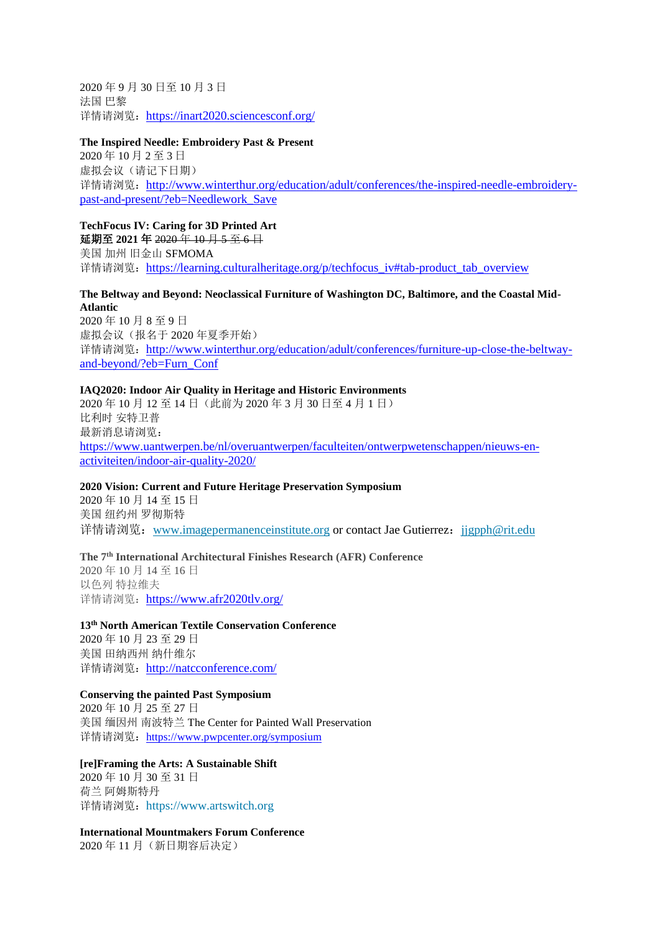2020 年 9 月 30 日至 10 月 3 日 法国 巴黎 详情请浏览: <https://inart2020.sciencesconf.org/>

#### **The Inspired Needle: Embroidery Past & Present**

2020 年 10 月 2 至 3 日 虚拟会议(请记下日期) 详情请浏览: [http://www.winterthur.org/education/adult/conferences/the-inspired-needle-embroidery](http://www.winterthur.org/education/adult/conferences/the-inspired-needle-embroidery-past-and-present/?eb=Needlework_Save)[past-and-present/?eb=Needlework\\_Save](http://www.winterthur.org/education/adult/conferences/the-inspired-needle-embroidery-past-and-present/?eb=Needlework_Save)

## **TechFocus IV: Caring for 3D Printed Art**

延期至 **2021** 年 2020 年 10 月 5 至 6 日 美国 加州 旧金山 SFMOMA 详情请浏览: [https://learning.culturalheritage.org/p/techfocus\\_iv#tab-product\\_tab\\_overview](https://learning.culturalheritage.org/p/techfocus_iv#tab-product_tab_overview)

#### **The Beltway and Beyond: Neoclassical Furniture of Washington DC, Baltimore, and the Coastal Mid-Atlantic** 2020 年 10 月 8 至 9 日

虚拟会议(报名于 2020 年夏季开始) 详情请浏览: [http://www.winterthur.org/education/adult/conferences/furniture-up-close-the-beltway](http://www.winterthur.org/education/adult/conferences/furniture-up-close-the-beltway-and-beyond/?eb=Furn_Conf)[and-beyond/?eb=Furn\\_Conf](http://www.winterthur.org/education/adult/conferences/furniture-up-close-the-beltway-and-beyond/?eb=Furn_Conf)

# **IAQ2020: Indoor Air Quality in Heritage and Historic Environments**

2020 年 10 月 12 至 14 日(此前为 2020 年 3 月 30 日至 4 月 1 日) 比利时 安特卫普 最新消息请浏览: [https://www.uantwerpen.be/nl/overuantwerpen/faculteiten/ontwerpwetenschappen/nieuws-en](https://www.uantwerpen.be/nl/overuantwerpen/faculteiten/ontwerpwetenschappen/nieuws-en-activiteiten/indoor-air-quality-2020/)[activiteiten/indoor-air-quality-2020/](https://www.uantwerpen.be/nl/overuantwerpen/faculteiten/ontwerpwetenschappen/nieuws-en-activiteiten/indoor-air-quality-2020/)

#### **2020 Vision: Current and Future Heritage Preservation Symposium**

2020 年 10 月 14 至 15 日 美国 纽约州 罗彻斯特 详情请浏览:[www.imagepermanenceinstitute.org](http://www.imagepermanenceinstitute.org/) or contact Jae Gutierrez:[jjgpph@rit.edu](mailto:jjgpph@rit.edu)

### **The 7th International Architectural Finishes Research (AFR) Conference**

2020 年 10 月 14 至 16 日 以色列 特拉维夫 详情请浏览: <https://www.afr2020tlv.org/>

**13th North American Textile Conservation Conference** 2020 年 10 月 23 至 29 日 美国 田纳西州 纳什维尔 详情请浏览: <http://natcconference.com/>

#### **Conserving the painted Past Symposium**

2020 年 10 月 25 至 27 日 美国 缅因州 南波特兰 The Center for Painted Wall Preservation 详情请浏览: <https://www.pwpcenter.org/symposium>

**[re]Framing the Arts: A Sustainable Shift** 2020 年 10 月 30 至 31 日 荷兰 阿姆斯特丹 详情请浏览: [https://www.artswitch.org](https://www.artswitch.org/)

**International Mountmakers Forum Conference**

2020 年 11 月(新日期容后决定)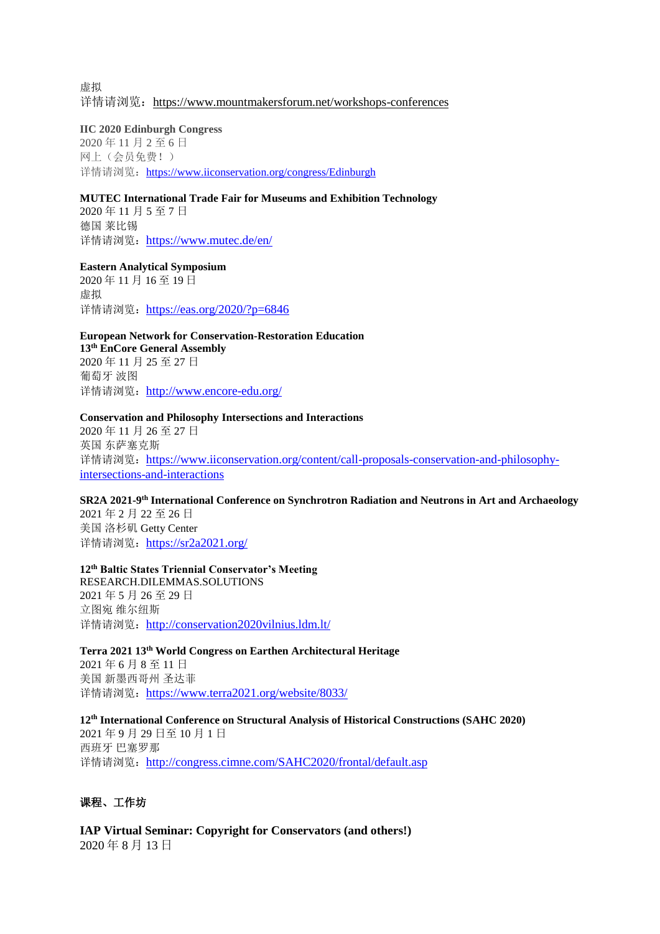虚拟 详情请浏览: <https://www.mountmakersforum.net/workshops-conferences>

#### **IIC 2020 Edinburgh Congress**

2020 年 11 月 2 至 6 日 网上(会员免费!) 详情请浏览: <https://www.iiconservation.org/congress/Edinburgh>

#### **MUTEC International Trade Fair for Museums and Exhibition Technology**

2020 年 11 月 5 至 7 日 德国 莱比锡 详情请浏览: <https://www.mutec.de/en/>

**Eastern Analytical Symposium**

2020 年 11 月 16 至 19 日 虚拟 详情请浏览: <https://eas.org/2020/?p=6846>

**European Network for Conservation-Restoration Education 13th EnCore General Assembly** 2020 年 11 月 25 至 27 日 葡萄牙 波图

详情请浏览: <http://www.encore-edu.org/>

### **Conservation and Philosophy Intersections and Interactions**

2020 年 11 月 26 至 27 日 英国 东萨塞克斯 详情请浏览: [https://www.iiconservation.org/content/call-proposals-conservation-and-philosophy](https://www.iiconservation.org/content/call-proposals-conservation-and-philosophy-intersections-and-interactions)[intersections-and-interactions](https://www.iiconservation.org/content/call-proposals-conservation-and-philosophy-intersections-and-interactions)

#### **SR2A 2021-9 th International Conference on Synchrotron Radiation and Neutrons in Art and Archaeology**

2021 年 2 月 22 至 26 日 美国 洛杉矶 Getty Center 详情请浏览: <https://sr2a2021.org/>

#### **12th Baltic States Triennial Conservator's Meeting**

RESEARCH.DILEMMAS.SOLUTIONS 2021 年 5 月 26 至 29 日 立图宛 维尔纽斯 详情请浏览: <http://conservation2020vilnius.ldm.lt/>

**Terra 2021 13th World Congress on Earthen Architectural Heritage** 2021 年 6 月 8 至 11 日

美国 新墨西哥州 圣达菲 详情请浏览: <https://www.terra2021.org/website/8033/>

#### **12th International Conference on Structural Analysis of Historical Constructions (SAHC 2020)**

2021 年 9 月 29 日至 10 月 1 日 西班牙 巴塞罗那 详情请浏览: <http://congress.cimne.com/SAHC2020/frontal/default.asp>

## 课程、工作坊

**IAP Virtual Seminar: Copyright for Conservators (and others!)** 2020 年 8 月 13 日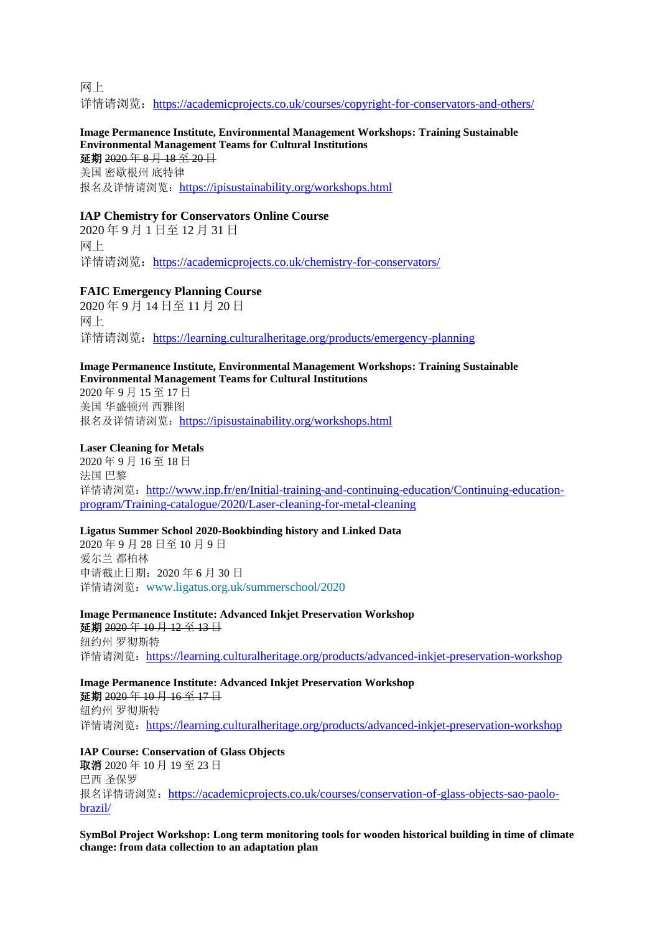网上 详情请浏览: <https://academicprojects.co.uk/courses/copyright-for-conservators-and-others/>

#### **Image Permanence Institute, Environmental Management Workshops: Training Sustainable Environmental Management Teams for Cultural Institutions** 延期 2020 年 8 月 18 至 20 日

美国 密歇根州 底特律 报名及详情请浏览: <https://ipisustainability.org/workshops.html>

## **IAP Chemistry for Conservators Online Course**

2020 年 9 月 1 日至 12 月 31 日 网上 详情请浏览: <https://academicprojects.co.uk/chemistry-for-conservators/>

## **FAIC Emergency Planning Course**

2020 年 9 月 14 日至 11 月 20 日 网上 详情请浏览: <https://learning.culturalheritage.org/products/emergency-planning>

#### **Image Permanence Institute, Environmental Management Workshops: Training Sustainable Environmental Management Teams for Cultural Institutions**

2020 年 9 月 15 至 17 日 美国 华盛顿州 西雅图 报名及详情请浏览: <https://ipisustainability.org/workshops.html>

## **Laser Cleaning for Metals**

2020 年 9 月 16 至 18 日 法国 巴黎 详情请浏览: [http://www.inp.fr/en/Initial-training-and-continuing-education/Continuing-education](http://www.inp.fr/en/Initial-training-and-continuing-education/Continuing-education-program/Training-catalogue/2020/Laser-cleaning-for-metal-cleaning)[program/Training-catalogue/2020/Laser-cleaning-for-metal-cleaning](http://www.inp.fr/en/Initial-training-and-continuing-education/Continuing-education-program/Training-catalogue/2020/Laser-cleaning-for-metal-cleaning)

## **Ligatus Summer School 2020-Bookbinding history and Linked Data**

2020 年 9 月 28 日至 10 月 9 日 爱尔兰 都柏林 申请截止日期:2020 年 6 月 30 日 详情请浏览:[www.ligatus.org.uk/summerschool/2020](http://www.ligatus.org.uk/summerschool/2020)

**Image Permanence Institute: Advanced Inkjet Preservation Workshop** 延期 2020年10月12至13日

纽约州 罗彻斯特 详情请浏览: <https://learning.culturalheritage.org/products/advanced-inkjet-preservation-workshop>

## **Image Permanence Institute: Advanced Inkjet Preservation Workshop**

延期 2020 年 10 月 16 至 17 日 纽约州 罗彻斯特 详情请浏览: <https://learning.culturalheritage.org/products/advanced-inkjet-preservation-workshop>

## **IAP Course: Conservation of Glass Objects**

取消 2020 年 10 月 19 至 23 日 巴西 圣保罗 报名详情请浏览: [https://academicprojects.co.uk/courses/conservation-of-glass-objects-sao-paolo](https://academicprojects.co.uk/courses/conservation-of-glass-objects-sao-paolo-brazil/)[brazil/](https://academicprojects.co.uk/courses/conservation-of-glass-objects-sao-paolo-brazil/)

**SymBol Project Workshop: Long term monitoring tools for wooden historical building in time of climate change: from data collection to an adaptation plan**